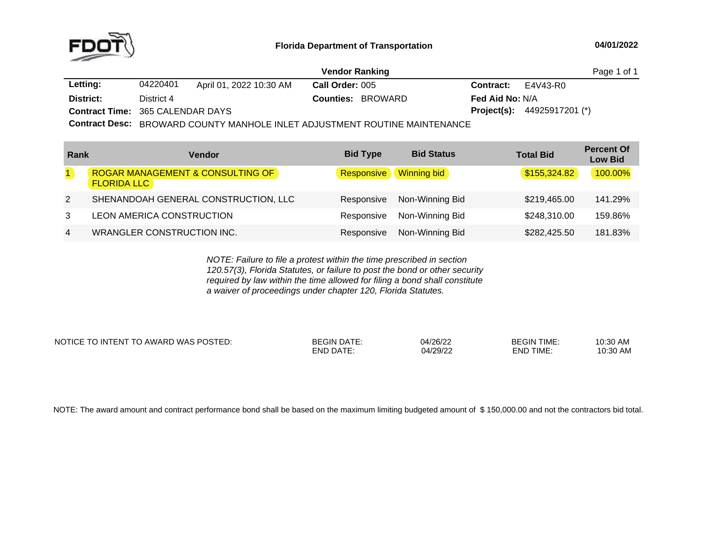

|                                         |            |                         | <b>Vendor Ranking</b>                                                          |                        | Page 1 of 1                          |
|-----------------------------------------|------------|-------------------------|--------------------------------------------------------------------------------|------------------------|--------------------------------------|
| Letting:                                | 04220401   | April 01, 2022 10:30 AM | <b>Call Order: 005</b>                                                         | <b>Contract:</b>       | E4V43-R0                             |
| District:                               | District 4 |                         | <b>Counties: BROWARD</b>                                                       | <b>Fed Aid No: N/A</b> |                                      |
| <b>Contract Time: 365 CALENDAR DAYS</b> |            |                         |                                                                                |                        | <b>Project(s):</b> $44925917201$ (*) |
|                                         |            |                         | Contract Degay, PROMARE OCUNTY MANULOUT AU ET AR ULOTMENT ROUTINE MAINITEMATOR |                        |                                      |

**Contract Desc:** BROWARD COUNTY MANHOLE INLET ADJUSTMENT ROUTINE MAINTENANCE

| Rank           | <b>Vendor</b>                                                     | <b>Bid Type</b> | <b>Bid Status</b> | <b>Total Bid</b> | <b>Percent Of</b><br><b>Low Bid</b> |
|----------------|-------------------------------------------------------------------|-----------------|-------------------|------------------|-------------------------------------|
|                | <b>ROGAR MANAGEMENT &amp; CONSULTING OF</b><br><b>FLORIDA LLC</b> | Responsive      | Winning bid       | \$155,324.82     | 100.00%                             |
| 2              | SHENANDOAH GENERAL CONSTRUCTION, LLC                              | Responsive      | Non-Winning Bid   | \$219,465.00     | 141.29%                             |
| 3              | <b>LEON AMERICA CONSTRUCTION</b>                                  | Responsive      | Non-Winning Bid   | \$248,310.00     | 159.86%                             |
| $\overline{4}$ | <b>WRANGLER CONSTRUCTION INC.</b>                                 | Responsive      | Non-Winning Bid   | \$282,425.50     | 181.83%                             |

*NOTE: Failure to file <sup>a</sup> protest within the time prescribed in section 120.57(3), Florida Statutes, or failure to post the bond or other security required by law within the time allowed for filing <sup>a</sup> bond shall constitute a waiver of proceedings under chapter 120, Florida Statutes.*

NOTICE TO INTENT TO AWARD WAS POSTED: BEGIN DATE: 04/26/22 BEGIN TIME: 10:30 AM

END DATE: 04/29/22 END TIME:

10:30 AM

NOTE: The award amount and contract performance bond shall be based on the maximum limiting budgeted amount of \$150,000.00 and not the contractors bid total.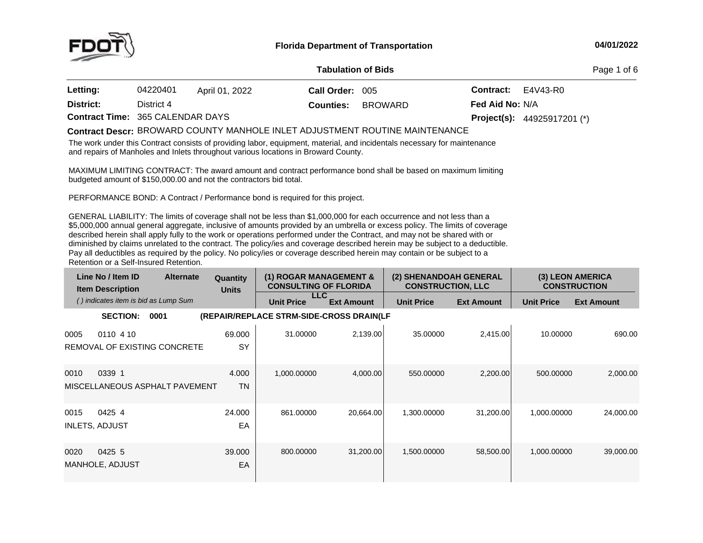

#### **04/01/2022**

#### **Contract Time:** 365 CALENDAR**District:** District <sup>4</sup> DAYS **Project(s): Counties:** BROWARD44925917201 (\*) **Fed Aid No:** N/A**Tabulation**Page 1 of 6 **Letting:** <sup>04220401</sup> April 01, <sup>2022</sup>**Call Order:** <sup>005</sup> **Contract:** E4V43-R0

# BROWARD COUNTY MANHOLE INLET ADJUSTMENT ROUTINE MAINTENANCE **Contract Descr:**

The work under this Contract consists of providing labor, equipment, material, and incidentals necessary for maintenance and repairs of Manholes and Inlets throughout various locations in Broward County.

MAXIMUM LIMITING CONTRACT: The award amount and contract performance bond shall be based on maximum limiting<br>budgeted amount of \$450,000,00 and pot the contractors bid total budgeted amount of \$150,000.00 and not the contractors bid total.

PERFORMANCE BOND: <sup>A</sup> Contract / Performance bond is required for this project.

GENERAL LIABILITY: The limits of coverage shall not be less than \$1,000,000 for each occurrence and not less than a<br>An access to all that \$5,000,000 annual general aggregate, inclusive of amounts provided by an umbrella or excess policy. The limits of coverage described herein shall apply fully to the work or operations performed under the Contract, and may not be shared with or diminished by claims unrelated to the contract. The policy/ies and coverage described herein may be subject to <sup>a</sup> deductible. Pay all deductibles as required by the policy. No policy/ies or coverage described herein may contain or be subject to <sup>a</sup> Retention or <sup>a</sup> Self-Insured Retention.

|      | Line No / Item ID<br><b>Item Description</b> | <b>Alternate</b>               | Quantity<br><b>Units</b> |                   | (1) ROGAR MANAGEMENT &<br><b>CONSULTING OF FLORIDA</b> | (2) SHENANDOAH GENERAL<br><b>CONSTRUCTION, LLC</b> |                   |                   | (3) LEON AMERICA<br><b>CONSTRUCTION</b> |
|------|----------------------------------------------|--------------------------------|--------------------------|-------------------|--------------------------------------------------------|----------------------------------------------------|-------------------|-------------------|-----------------------------------------|
|      | () indicates item is bid as Lump Sum         |                                |                          | <b>Unit Price</b> | LLC.<br><b>Ext Amount</b>                              | <b>Unit Price</b>                                  | <b>Ext Amount</b> | <b>Unit Price</b> | <b>Ext Amount</b>                       |
|      | <b>SECTION:</b>                              | 0001                           |                          |                   | (REPAIR/REPLACE STRM-SIDE-CROSS DRAIN(LF               |                                                    |                   |                   |                                         |
| 0005 | 0110 4 10                                    | REMOVAL OF EXISTING CONCRETE   | 69.000<br>SY             | 31.00000          | 2,139.00                                               | 35.00000                                           | 2,415.00          | 10.00000          | 690.00                                  |
| 0010 | 0339 1                                       | MISCELLANEOUS ASPHALT PAVEMENT | 4.000<br><b>TN</b>       | 1,000.00000       | 4,000.00                                               | 550,00000                                          | 2,200.00          | 500.00000         | 2,000.00                                |
| 0015 | 0425 4<br><b>INLETS, ADJUST</b>              |                                | 24.000<br>EA             | 861.00000         | 20,664.00                                              | 1,300.00000                                        | 31,200.00         | 1,000.00000       | 24,000.00                               |
| 0020 | 0425 5<br>MANHOLE, ADJUST                    |                                | 39,000<br>EA             | 800.00000         | 31,200.00                                              | 1,500.00000                                        | 58,500.00         | 1,000.00000       | 39,000.00                               |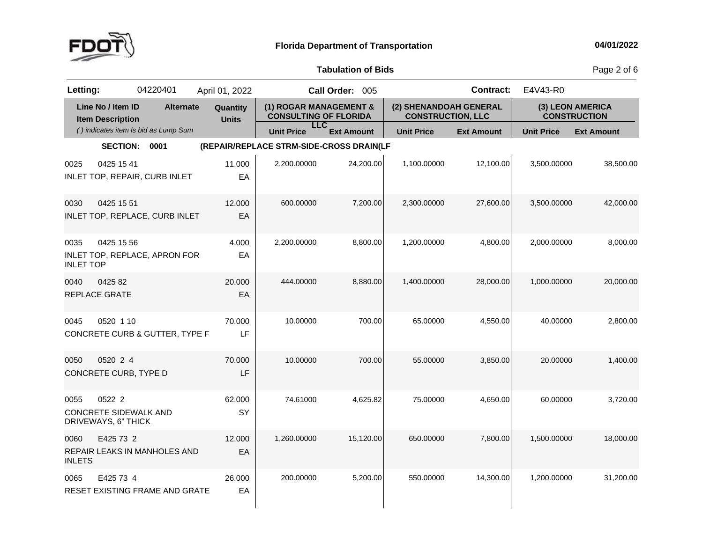

Page 2 of 6

| Letting:                 |                                                               | 04220401                             | April 01, 2022           |                                                        | Call Order: 005   |                                                    | <b>Contract:</b>  | E4V43-R0          |                                         |
|--------------------------|---------------------------------------------------------------|--------------------------------------|--------------------------|--------------------------------------------------------|-------------------|----------------------------------------------------|-------------------|-------------------|-----------------------------------------|
|                          | Line No / Item ID<br><b>Item Description</b>                  | <b>Alternate</b>                     | Quantity<br><b>Units</b> | (1) ROGAR MANAGEMENT &<br><b>CONSULTING OF FLORIDA</b> |                   | (2) SHENANDOAH GENERAL<br><b>CONSTRUCTION, LLC</b> |                   |                   | (3) LEON AMERICA<br><b>CONSTRUCTION</b> |
|                          |                                                               | () indicates item is bid as Lump Sum |                          | <b>LLC</b><br><b>Unit Price</b>                        | <b>Ext Amount</b> | <b>Unit Price</b>                                  | <b>Ext Amount</b> | <b>Unit Price</b> | <b>Ext Amount</b>                       |
|                          | <b>SECTION:</b>                                               | 0001                                 |                          | (REPAIR/REPLACE STRM-SIDE-CROSS DRAIN(LF               |                   |                                                    |                   |                   |                                         |
| 0025                     | 0425 15 41                                                    | INLET TOP, REPAIR, CURB INLET        | 11.000<br>EA             | 2,200.00000                                            | 24,200.00         | 1,100.00000                                        | 12,100.00         | 3,500.00000       | 38,500.00                               |
| 0030                     | 0425 15 51                                                    | INLET TOP, REPLACE, CURB INLET       | 12.000<br>EA             | 600.00000                                              | 7,200.00          | 2,300.00000                                        | 27,600.00         | 3,500.00000       | 42,000.00                               |
| 0035<br><b>INLET TOP</b> | 0425 15 56                                                    | INLET TOP, REPLACE, APRON FOR        | 4.000<br>EA              | 2,200.00000                                            | 8,800.00          | 1,200.00000                                        | 4,800.00          | 2,000.00000       | 8,000.00                                |
| 0040                     | 0425 82<br>REPLACE GRATE                                      |                                      | 20.000<br>EA             | 444.00000                                              | 8,880.00          | 1,400.00000                                        | 28,000.00         | 1,000.00000       | 20,000.00                               |
| 0045                     | 0520 1 10                                                     | CONCRETE CURB & GUTTER, TYPE F       | 70.000<br>LF             | 10.00000                                               | 700.00            | 65.00000                                           | 4,550.00          | 40.00000          | 2,800.00                                |
| 0050                     | 0520 2 4<br>CONCRETE CURB, TYPE D                             |                                      | 70.000<br>LF             | 10.00000                                               | 700.00            | 55.00000                                           | 3,850.00          | 20.00000          | 1,400.00                                |
| 0055                     | 0522 2<br><b>CONCRETE SIDEWALK AND</b><br>DRIVEWAYS, 6" THICK |                                      | 62.000<br>SY             | 74.61000                                               | 4,625.82          | 75.00000                                           | 4,650.00          | 60.00000          | 3,720.00                                |
| 0060<br><b>INLETS</b>    | E425 73 2                                                     | REPAIR LEAKS IN MANHOLES AND         | 12.000<br>EA             | 1,260.00000                                            | 15,120.00         | 650.00000                                          | 7,800.00          | 1,500.00000       | 18,000.00                               |
| 0065                     | E425 73 4                                                     | RESET EXISTING FRAME AND GRATE       | 26.000<br>EA             | 200.00000                                              | 5,200.00          | 550.00000                                          | 14,300.00         | 1,200.00000       | 31,200.00                               |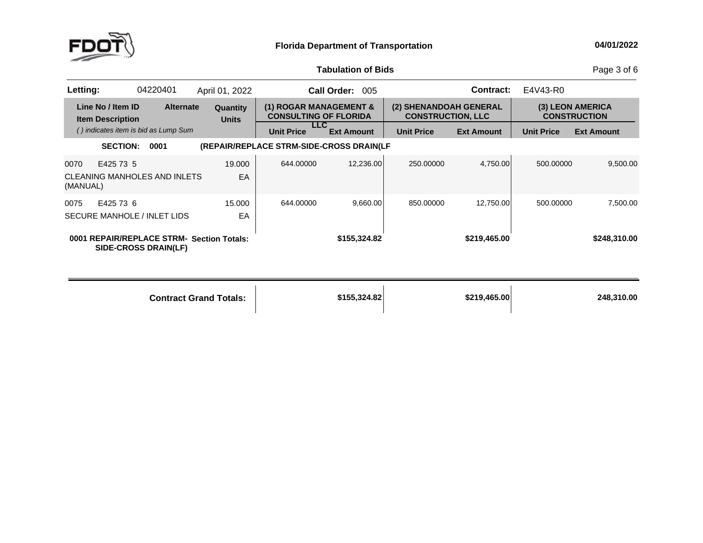

Page 3 of 6

| Letting:         |                                              | 04220401                             | April 01, 2022                            |                                          | Call Order: 005                                        |                                                    | <b>Contract:</b>  | E4V43-R0          |                                         |
|------------------|----------------------------------------------|--------------------------------------|-------------------------------------------|------------------------------------------|--------------------------------------------------------|----------------------------------------------------|-------------------|-------------------|-----------------------------------------|
|                  | Line No / Item ID<br><b>Item Description</b> | <b>Alternate</b>                     | Quantity<br><b>Units</b>                  |                                          | (1) ROGAR MANAGEMENT &<br><b>CONSULTING OF FLORIDA</b> | (2) SHENANDOAH GENERAL<br><b>CONSTRUCTION, LLC</b> |                   |                   | (3) LEON AMERICA<br><b>CONSTRUCTION</b> |
|                  |                                              | () indicates item is bid as Lump Sum |                                           | <b>Unit Price</b>                        | LLC.<br><b>Ext Amount</b>                              | <b>Unit Price</b>                                  | <b>Ext Amount</b> | <b>Unit Price</b> | <b>Ext Amount</b>                       |
|                  | <b>SECTION:</b>                              | 0001                                 |                                           | (REPAIR/REPLACE STRM-SIDE-CROSS DRAIN(LF |                                                        |                                                    |                   |                   |                                         |
| 0070<br>(MANUAL) | E425 73 5                                    | CLEANING MANHOLES AND INLETS         | 19,000<br>EA                              | 644,00000                                | 12.236.00                                              | 250,00000                                          | 4,750.00          | 500,00000         | 9,500.00                                |
| 0075             | E425 73 6                                    | SECURE MANHOLE / INLET LIDS          | 15.000<br>EA                              | 644.00000                                | 9,660.00                                               | 850,00000                                          | 12.750.00         | 500.00000         | 7,500.00                                |
|                  |                                              | SIDE-CROSS DRAIN(LF)                 | 0001 REPAIR/REPLACE STRM- Section Totals: |                                          | \$155,324.82                                           |                                                    | \$219,465.00      |                   | \$248,310.00                            |

| <b>Contract Grand Totals:</b> | \$155,324.82 | \$219,465.00 | 248,310.00 |
|-------------------------------|--------------|--------------|------------|
|                               |              |              |            |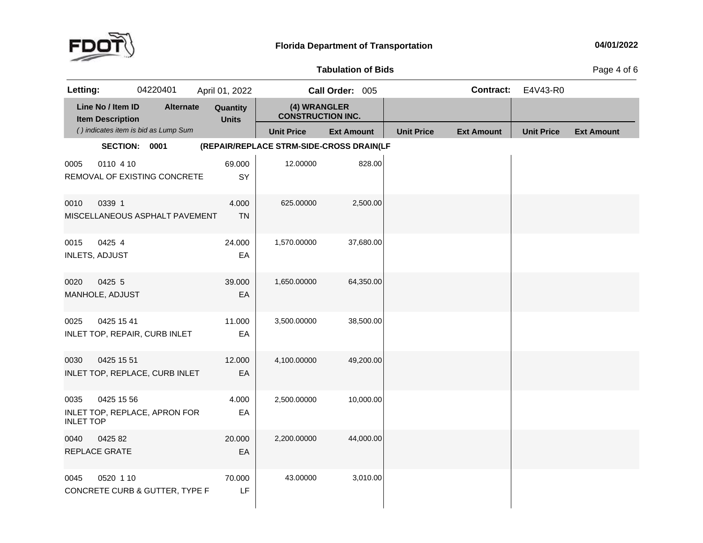

Page 4 of 6

| Letting:                 |                                              | 04220401                             | April 01, 2022           |                                          | Call Order: 005   |                   | <b>Contract:</b>  | E4V43-R0          |                   |
|--------------------------|----------------------------------------------|--------------------------------------|--------------------------|------------------------------------------|-------------------|-------------------|-------------------|-------------------|-------------------|
|                          | Line No / Item ID<br><b>Item Description</b> | <b>Alternate</b>                     | Quantity<br><b>Units</b> | (4) WRANGLER<br><b>CONSTRUCTION INC.</b> |                   |                   |                   |                   |                   |
|                          |                                              | () indicates item is bid as Lump Sum |                          | <b>Unit Price</b>                        | <b>Ext Amount</b> | <b>Unit Price</b> | <b>Ext Amount</b> | <b>Unit Price</b> | <b>Ext Amount</b> |
|                          | SECTION: 0001                                |                                      |                          | (REPAIR/REPLACE STRM-SIDE-CROSS DRAIN(LF |                   |                   |                   |                   |                   |
| 0005                     | 0110 4 10                                    | REMOVAL OF EXISTING CONCRETE         | 69.000<br>SY             | 12.00000                                 | 828.00            |                   |                   |                   |                   |
| 0010                     | 0339 1                                       | MISCELLANEOUS ASPHALT PAVEMENT       | 4.000<br><b>TN</b>       | 625.00000                                | 2,500.00          |                   |                   |                   |                   |
| 0015                     | 0425 4<br><b>INLETS, ADJUST</b>              |                                      | 24.000<br>EA             | 1,570.00000                              | 37,680.00         |                   |                   |                   |                   |
| 0020                     | 0425 5<br>MANHOLE, ADJUST                    |                                      | 39.000<br>EA             | 1,650.00000                              | 64,350.00         |                   |                   |                   |                   |
| 0025                     | 0425 15 41                                   | INLET TOP, REPAIR, CURB INLET        | 11.000<br>EA             | 3,500.00000                              | 38,500.00         |                   |                   |                   |                   |
| 0030                     | 0425 15 51                                   | INLET TOP, REPLACE, CURB INLET       | 12.000<br>EA             | 4,100.00000                              | 49,200.00         |                   |                   |                   |                   |
| 0035<br><b>INLET TOP</b> | 0425 15 56                                   | INLET TOP, REPLACE, APRON FOR        | 4.000<br>EA              | 2,500.00000                              | 10,000.00         |                   |                   |                   |                   |
| 0040                     | 0425 82<br>REPLACE GRATE                     |                                      | 20.000<br>EA             | 2,200.00000                              | 44,000.00         |                   |                   |                   |                   |
| 0045                     | 0520 1 10                                    | CONCRETE CURB & GUTTER, TYPE F       | 70.000<br>LF             | 43.00000                                 | 3,010.00          |                   |                   |                   |                   |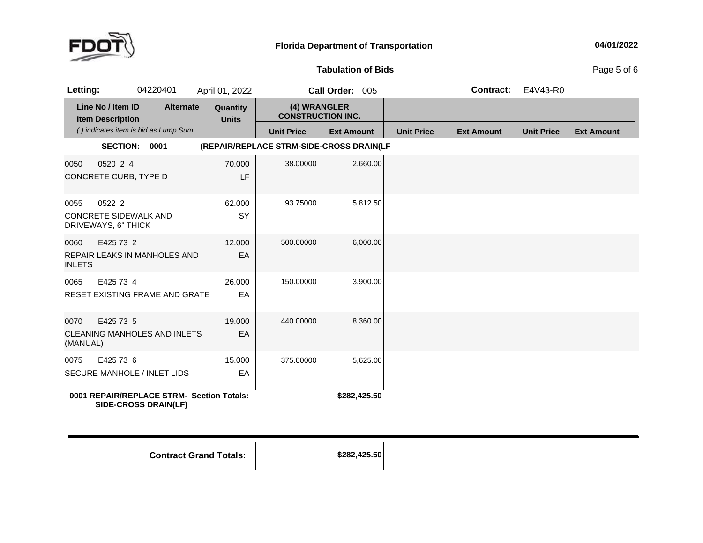

**of Bids** Page <sup>5</sup> of <sup>6</sup>

| Letting:              |                                                        | 04220401                              | April 01, 2022                            |                                          | Call Order: 005   |                   | <b>Contract:</b>  | E4V43-R0          |                   |
|-----------------------|--------------------------------------------------------|---------------------------------------|-------------------------------------------|------------------------------------------|-------------------|-------------------|-------------------|-------------------|-------------------|
|                       | Line No / Item ID<br><b>Item Description</b>           | <b>Alternate</b>                      | Quantity<br><b>Units</b>                  | (4) WRANGLER<br><b>CONSTRUCTION INC.</b> |                   |                   |                   |                   |                   |
|                       |                                                        | () indicates item is bid as Lump Sum  |                                           | <b>Unit Price</b>                        | <b>Ext Amount</b> | <b>Unit Price</b> | <b>Ext Amount</b> | <b>Unit Price</b> | <b>Ext Amount</b> |
|                       | <b>SECTION:</b>                                        | 0001                                  |                                           | (REPAIR/REPLACE STRM-SIDE-CROSS DRAIN(LF |                   |                   |                   |                   |                   |
| 0050                  | 0520 2 4<br>CONCRETE CURB, TYPE D                      |                                       | 70.000<br>LF                              | 38.00000                                 | 2,660.00          |                   |                   |                   |                   |
| 0055                  | 0522 2<br>CONCRETE SIDEWALK AND<br>DRIVEWAYS, 6" THICK |                                       | 62.000<br>SY                              | 93.75000                                 | 5,812.50          |                   |                   |                   |                   |
| 0060<br><b>INLETS</b> | E425 73 2                                              | <b>REPAIR LEAKS IN MANHOLES AND</b>   | 12.000<br>EA                              | 500.00000                                | 6,000.00          |                   |                   |                   |                   |
| 0065                  | E425 73 4                                              | <b>RESET EXISTING FRAME AND GRATE</b> | 26.000<br>EA                              | 150.00000                                | 3,900.00          |                   |                   |                   |                   |
| 0070<br>(MANUAL)      | E425 73 5                                              | <b>CLEANING MANHOLES AND INLETS</b>   | 19,000<br>EA                              | 440.00000                                | 8,360.00          |                   |                   |                   |                   |
| 0075                  | E425 73 6                                              | <b>SECURE MANHOLE / INLET LIDS</b>    | 15.000<br>EA                              | 375.00000                                | 5,625.00          |                   |                   |                   |                   |
|                       |                                                        | SIDE-CROSS DRAIN(LF)                  | 0001 REPAIR/REPLACE STRM- Section Totals: |                                          | \$282,425.50      |                   |                   |                   |                   |

**Contract Grand**

**Totals: \$282,425.50**